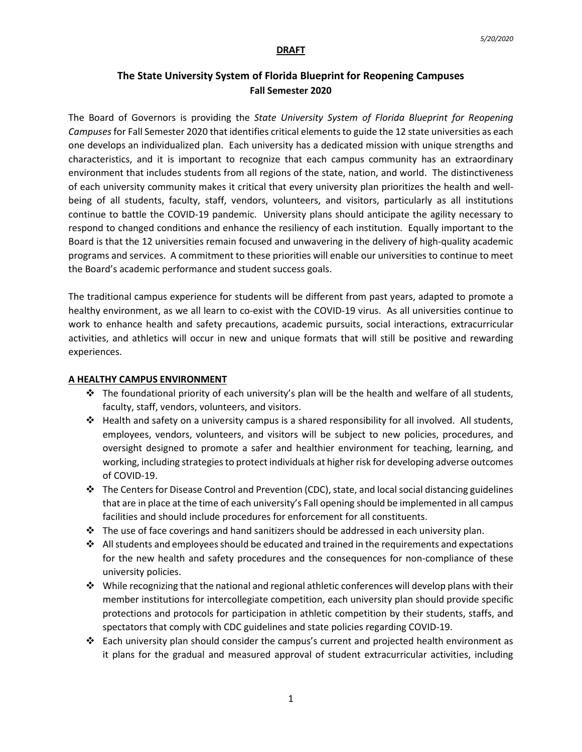#### **DRAFT**

# **The State University System of Florida Blueprint for Reopening Campuses Fall Semester 2020**

The Board of Governors is providing the *State University System of Florida Blueprint for Reopening Campuses* for Fall Semester 2020 that identifies critical elementsto guide the 12 state universities as each one develops an individualized plan. Each university has a dedicated mission with unique strengths and characteristics, and it is important to recognize that each campus community has an extraordinary environment that includes students from all regions of the state, nation, and world. The distinctiveness of each university community makes it critical that every university plan prioritizes the health and wellbeing of all students, faculty, staff, vendors, volunteers, and visitors, particularly as all institutions continue to battle the COVID-19 pandemic. University plans should anticipate the agility necessary to respond to changed conditions and enhance the resiliency of each institution. Equally important to the Board is that the 12 universities remain focused and unwavering in the delivery of high-quality academic programs and services. A commitment to these priorities will enable our universities to continue to meet the Board's academic performance and student success goals.

The traditional campus experience for students will be different from past years, adapted to promote a healthy environment, as we all learn to co-exist with the COVID-19 virus. As all universities continue to work to enhance health and safety precautions, academic pursuits, social interactions, extracurricular activities, and athletics will occur in new and unique formats that will still be positive and rewarding experiences.

### **A HEALTHY CAMPUS ENVIRONMENT**

- $\div$  The foundational priority of each university's plan will be the health and welfare of all students, faculty, staff, vendors, volunteers, and visitors.
- $\triangle$  Health and safety on a university campus is a shared responsibility for all involved. All students, employees, vendors, volunteers, and visitors will be subject to new policies, procedures, and oversight designed to promote a safer and healthier environment for teaching, learning, and working, including strategies to protect individuals at higher risk for developing adverse outcomes of COVID-19.
- $\cdot \cdot$  The Centers for Disease Control and Prevention (CDC), state, and local social distancing guidelines that are in place at the time of each university's Fall opening should be implemented in all campus facilities and should include procedures for enforcement for all constituents.
- $\cdot \cdot$  The use of face coverings and hand sanitizers should be addressed in each university plan.
- $\triangle$  All students and employees should be educated and trained in the requirements and expectations for the new health and safety procedures and the consequences for non-compliance of these university policies.
- $\cdot \cdot$  While recognizing that the national and regional athletic conferences will develop plans with their member institutions for intercollegiate competition, each university plan should provide specific protections and protocols for participation in athletic competition by their students, staffs, and spectators that comply with CDC guidelines and state policies regarding COVID-19.
- $\div$  Each university plan should consider the campus's current and projected health environment as it plans for the gradual and measured approval of student extracurricular activities, including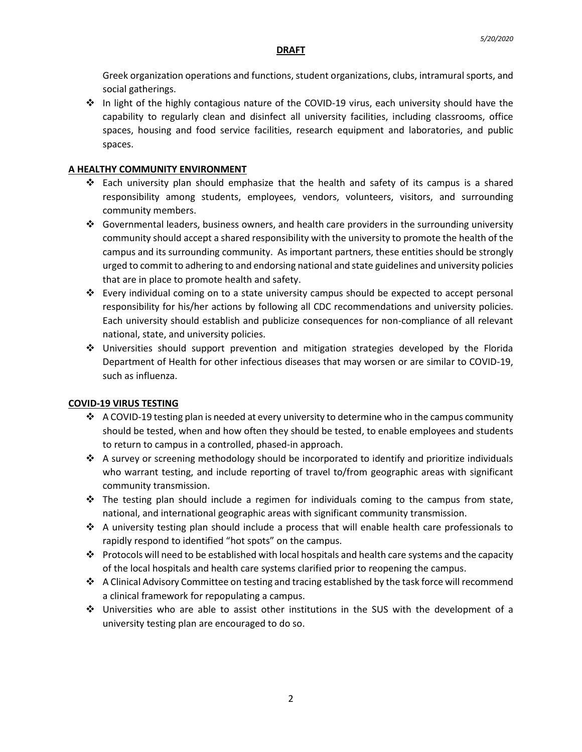### **DRAFT**

Greek organization operations and functions, student organizations, clubs, intramural sports, and social gatherings.

 $\div$  In light of the highly contagious nature of the COVID-19 virus, each university should have the capability to regularly clean and disinfect all university facilities, including classrooms, office spaces, housing and food service facilities, research equipment and laboratories, and public spaces.

### **A HEALTHY COMMUNITY ENVIRONMENT**

- $\div$  Each university plan should emphasize that the health and safety of its campus is a shared responsibility among students, employees, vendors, volunteers, visitors, and surrounding community members.
- Governmental leaders, business owners, and health care providers in the surrounding university community should accept a shared responsibility with the university to promote the health of the campus and its surrounding community. As important partners, these entities should be strongly urged to commit to adhering to and endorsing national and state guidelines and university policies that are in place to promote health and safety.
- $\div$  Every individual coming on to a state university campus should be expected to accept personal responsibility for his/her actions by following all CDC recommendations and university policies. Each university should establish and publicize consequences for non-compliance of all relevant national, state, and university policies.
- Universities should support prevention and mitigation strategies developed by the Florida Department of Health for other infectious diseases that may worsen or are similar to COVID-19, such as influenza.

# **COVID-19 VIRUS TESTING**

- $\div$  A COVID-19 testing plan is needed at every university to determine who in the campus community should be tested, when and how often they should be tested, to enable employees and students to return to campus in a controlled, phased-in approach.
- $\triangle$  A survey or screening methodology should be incorporated to identify and prioritize individuals who warrant testing, and include reporting of travel to/from geographic areas with significant community transmission.
- $\div$  The testing plan should include a regimen for individuals coming to the campus from state, national, and international geographic areas with significant community transmission.
- A university testing plan should include a process that will enable health care professionals to rapidly respond to identified "hot spots" on the campus.
- $\cdot \cdot$  Protocols will need to be established with local hospitals and health care systems and the capacity of the local hospitals and health care systems clarified prior to reopening the campus.
- $\clubsuit$  A Clinical Advisory Committee on testing and tracing established by the task force will recommend a clinical framework for repopulating a campus.
- Universities who are able to assist other institutions in the SUS with the development of a university testing plan are encouraged to do so.